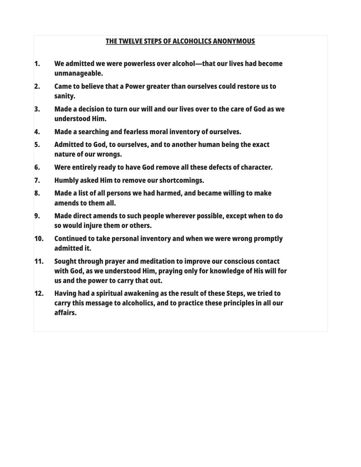## THE TWELVE STEPS OF ALCOHOLICS ANONYMOUS

- 1. We admitted we were powerless over alcohol—that our lives had become unmanageable.
- 2. Came to believe that a Power greater than ourselves could restore us to sanity.
- 3. Made a decision to turn our will and our lives over to the care of God as we understood Him.
- 4. Made a searching and fearless moral inventory of ourselves.
- 5. Admitted to God, to ourselves, and to another human being the exact nature of our wrongs.
- 6. Were entirely ready to have God remove all these defects of character.
- 7. Humbly asked Him to remove our shortcomings.
- 8. Made a list of all persons we had harmed, and became willing to make amends to them all.
- 9. Made direct amends to such people wherever possible, except when to do so would injure them or others.
- 10. Continued to take personal inventory and when we were wrong promptly admitted it.
- 11. Sought through prayer and meditation to improve our conscious contact with God, as we understood Him, praying only for knowledge of His will for us and the power to carry that out.
- 12. Having had a spiritual awakening as the result of these Steps, we tried to carry this message to alcoholics, and to practice these principles in all our affairs.